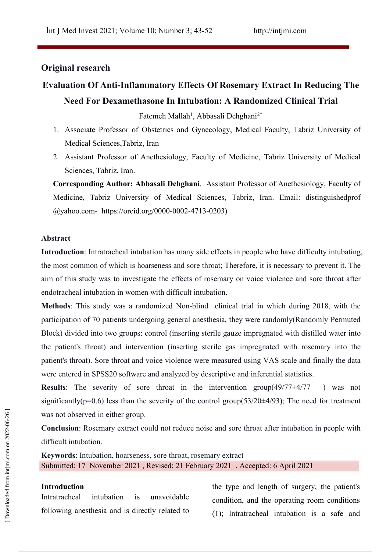# **Original research**

# **Evaluation Of Anti-Inflammatory Effects Of Rosemary Extract In Reducing The Need For Dexamethasone In Intubation: A Randomized Clinical Trial**

Fatemeh Mallah 1 , Abbasali Dehghani2\*

- 1. Associate Professor of Obstetrics and Gynecology, Medical Faculty, Tabriz University of Medical Sciences,Tabriz, Iran
- 2. Assistant Professor of Anethesiology, Faculty of Medicine, Tabriz University of Medical Sciences, Tabriz, Iran.

**Corresponding Author: Abbasali Dehghani**. Assistant Professor of Anethesiology, Faculty of Medicine, Tabriz University of Medical Sciences, Tabriz, Iran. Email: distinguishedprof @yahoo.com- https://orcid.org/0000-0002-713-0203)

### **Abstract**

**Introduction**: Intratracheal intubation has many side effects in people who have difficulty intubating, the most common of which is hoarseness and sore throat; Therefore, it is necessary to prevent it. The aim of this study was to investigate the effects of rosemary on voice violence and sore throat after endotracheal intubation in women with difficult intubation.

**Methods**: This study was a randomized Non-blind clinical trial in which during 2018, with the participation of 70 patients undergoing general anesthesia, they were randomly(Randomly Permuted Block) divided into two groups: control (inserting sterile gauze impregnated with distilled water into the patient's throat) and intervention (inserting sterile gas impregnated with rosemary into the patient's throat). Sore throat and voice violence were measured using VAS scale and finally the data were entered in SPSS20 software and analyzed by descriptive and inferential statistics.

**Results:** The severity of sore throat in the intervention group $(49/77 \pm 4/77)$  ) was not significantly( $p=0.6$ ) less than the severity of the control group( $53/20\pm4/93$ ); The need for treatment was not observed in either group.

**Conclusion**: Rosemary extract could not reduce noise and sore throat after intubation in people with difficult intubation. Was not observed in either group.<br>
Conclusion: Rosemary extract could not reduce noise and sore throat after intubation in people with<br>
difficult intubation.<br> **Expansion intubation**.<br> **Expansion interaction**<br> **Expansion in** 

**Keywords**: Intubation, hoarseness, sore throat, rosemary extract Submitted: 17 November 2021 , Revised:21 February 2021 , Accepted: 6 April 2021

# **Introduction**

Intratracheal intubation is unavoidable

following anesthesia and is directly related to (1). Intratracheal intubation is a safe and the type and length of surgery, the patient's condition, and the operating room conditions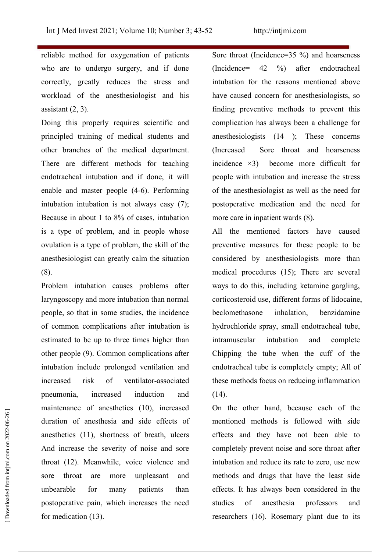reliable method for oxygenation of patients who are to undergo surgery, and if done correctly, greatly reduces the stress and workload of the anesthesiologist and his assistant (2, 3).

Doing this properly requires scientific and principled training of medical students and other branches of the medical department. There are different methods for teaching incidence  $\times$ 3) endotracheal intubation and if done, it will enable and master people  $(4-6)$ . Performing intubation intubation is not always easy (7); Because in about 1 to 8% of cases, intubation is a type of problem, and in people whose ovulation is a type of problem, the skill of the anesthesiologist can greatly calm the situation (8).

Problem intubation causes problems after laryngoscopy and more intubation than normal people, so that in some studies, the incidence of common complications after intubation is estimated to be up to three times higher than other people (9). Common complications after intubation include prolonged ventilation and increased risk of ventilator-associated pneumonia, increased induction and maintenance of anesthetics (10), increased duration of anesthesia and side effects of anesthetics (11), shortness of breath, ulcers And increase the severity of noise and sore throat (12). Meanwhile, voice violence and sore throat are more unpleasant and methods and drugs that have the least side unbearable for many patients than effects. It has always been considered in the postoperative pain, which increases the need for medication (13). mannenance or anestheics (16), increased to the other nand, because each of the<br>duration of anesthesia and side effects of mentioned methods is followed with side<br>anesthetics (11), shortness of breath, ulcers<br>and increase

Sore throat (Incidence= $35\%$ ) and hoarseness (Incidence= 2 %) after endotracheal intubation for the reasons mentioned above have caused concern for anesthesiologists, so finding preventive methods to prevent this complication has always been a challenge for anesthesiologists  $(14)$ ; These concerns Sore throat and hoarseness become more difficult for people with intubation and increase the stress of the anesthesiologist as well as the need for postoperative medication and the need for more care in inpatient wards (8).

All the mentioned factors have caused preventive measures for these people to be considered by anesthesiologists more than medical procedures  $(15)$ ; There are several ways to do this, including ketamine gargling, corticosteroid use, different forms of lidocaine, beclomethasone inhalation, benzidamine hydrochloride spray, small endotracheal tube, intramuscular intubation and complete Chipping the tube when the cuff of the endotracheal tube is completely empty; All of these methods focus on reducing inflammation  $(14).$ 

On the other hand, because each of the mentioned methods is followed with side effects and they have not been able to completely prevent noise and sore throat after intubation and reduce its rate to zero, use new professors and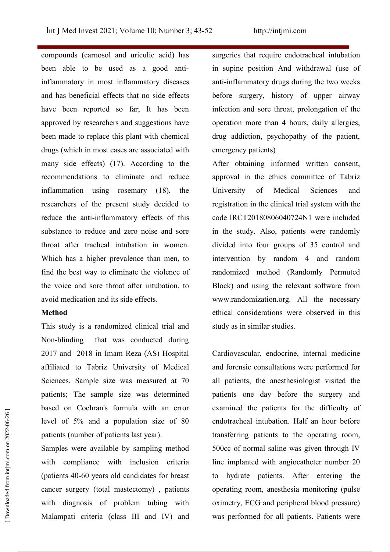compounds (carnosol and uriculic acid) has been able to be used as a good antiinflammatory in most inflammatory diseases and has beneficial effects that no side effects have been reported so far; It has been approved by researchers and suggestions have been made to replace this plant with chemical drugs (which in most cases are associated with many side effects) (17). According to the recommendations to eliminate and reduce inflammation using rosemary (18), the University of researchers of the present study decided to reduce the anti-inflammatory effects of this substance to reduce and zero noise and sore throat after tracheal intubation in women. Which has a higher prevalence than men, to find the best way to eliminate the violence of the voice and sore throat after intubation, to avoid medication and its side effects.

## **Method**

This study is a randomized clinical trial and Non-blinding that was conducted during 2017 and 2018 in Imam Reza (AS) Hospital affiliated to Tabriz University of Medical Sciences. Sample size was measured at 70 patients; The sample size was determined based on Cochran's formula with an error level of  $5\%$  and a population size of 80 patients (number of patients last year).

Samples were available by sampling method with compliance with inclusion criteria (patients 40-60 years old candidates for breast cancer surgery (total mastectomy) , patients with diagnosis of problem tubing with Malampati criteria (class III and IV) and was performed for all patients. Patients were

surgeries that require endotracheal intubation in supine position And withdrawal (use of anti-inflammatory drugs during the two weeks before surgery, history of upper airway infection and sore throat, prolongation of the operation more than 4 hours, daily allergies, drug addiction, psychopathy of the patient, emergency patients)

After obtaining informed written consent, approval in the ethics committee of Tabriz University of Medical Sciences and registration in the clinical trial system with the code IRCT20180806040724N1 were included in the study. Also, patients were randomly divided into four groups of 35 control and intervention by random 4 and random randomized method (Randomly Permuted Block) and using the relevant software from www.randomization.org. All the necessary ethical considerations were observed in this study as in similar studies.

Cardiovascular, endocrine, internal medicine and forensic consultations were performed for all patients, the anesthesiologist visited the patients one day before the surgery and examined the patients for the difficulty of endotracheal intubation. Half an hour before transferring patients to the operating room, 500cc of normal saline was given through IV line implanted with angiocatheter number 20 to hydrate patients. After entering the operating room, anesthesia monitoring (pulse oximetry, ECG and peripheral blood pressure) was divergent of the direction of the direction of the direction of the direction of patients (number of patients last year).<br>
Samples were available by sampling method<br>
with compliance with inclusion criteria intervals an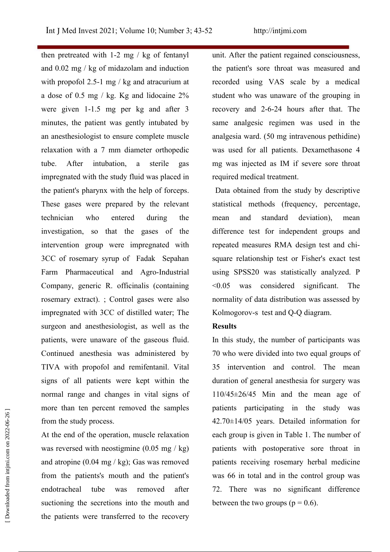then pretreated with  $1-2$  mg / kg of fentanyl and 0.02 mg / kg of midazolam and induction with propofol 2.5-1 mg / kg and atracurium at a dose of 0.5 mg / kg. Kg and lidocaine  $2\%$ were given  $1-1.5$  mg per kg and after 3 minutes, the patient was gently intubated by an anesthesiologist to ensure complete muscle relaxation with a 7 mm diameter orthopedic tube. After intubation, a sterile gas mg was injected as IM if severe sore throat impregnated with the study fluid was placed in the patient's pharynx with the help of forceps. These gases were prepared by the relevant technician who entered during the investigation, so that the gases of the intervention group were impregnated with 3CC of rosemary syrup of Fadak Sepahan Farm Pharmaceutical and Agro-Industrial Company, generic R. officinalis (containing rosemary extract). ; Control gases were also impregnated with 3CC of distilled water; The surgeon and anesthesiologist, as well as the patients, were unaware of the gaseous fluid.<br>Continued anesthesia was administered by TIVA with propofol and remifentanil. Vital signs of all patients were kept within the normal range and changes in vital signs of more than ten percent removed the samples from the study process.

At the end of the operation, muscle relaxation was reversed with neostigmine  $(0.05 \text{ mg} / \text{kg})$ and atropine  $(0.04 \text{ mg} / \text{kg})$ ; Gas was removed from the patients's mouth and the patient's endotracheal tube was removed after suctioning the secretions into the mouth and between the two groups ( $p = 0.6$ ). the patients were transferred to the recovery

unit. After the patient regained consciousness, the patient's sore throat was measured and recorded using VAS scale by a medical student who was unaware of the grouping in recovery and 2-6-24 hours after that. The same analgesic regimen was used in the analgesia ward. (50 mg intravenous pethidine) was used for all patients. Dexamethasone required medical treatment.

Data obtained from the study by descriptive statistical methods (frequency, percentage, standard deviation), mean difference test for independent groups and repeated measures RMA design test and chi square relationship test or Fisher's exact test using SPSS20 was statistically analyzed. P  $\leq 0.05$  was considered significant. The normality of data distribution was assessed by Kolmogorov-s test and Q-Q diagram.

# **Results**

In this study, the number of participants was 70 who were divided into two equal groups of 35 intervention and control. The mean duration of general anesthesia for surgery was  $110/45 \pm 26/45$  Min and the mean age of patients participating in the study was  $42.70 \pm 14/05$  years. Detailed information for each group is given in Table 1. The number of patients with postoperative sore throat in patients receiving rosemary herbal medicine was 66 in total and in the control group was 72. There was no significant difference between the percent removed the samples<br>
from the study process.<br>
At the end of the operation, muscle relaxation<br>
and atropine (0.04 mg/kg); Gas was removed<br>
and atropine (0.04 mg/kg); Gas was removed<br>
examples the patien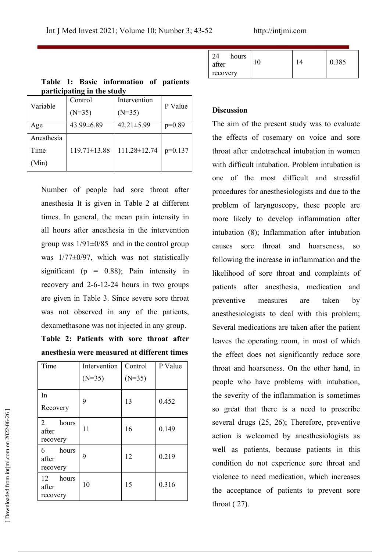|            | participating in the study |                              |          |                                                  |
|------------|----------------------------|------------------------------|----------|--------------------------------------------------|
|            | Control                    | Intervention                 |          |                                                  |
| Variable   | $(N=35)$                   | $(N=35)$                     | P Value  | <b>Discussion</b>                                |
| Age        | 43.99±6.89                 | $42.21 \pm 5.99$             | $p=0.89$ | The aim of the present study was to evaluate     |
| Anesthesia |                            |                              |          | the effects of rosemary on voice and sore        |
| Time       | $119.71 \pm 13.88$         | $111.28 \pm 12.74$   p=0.137 |          | throat after endotracheal intubation in women    |
| (Min)      |                            |                              |          | with difficult intubation. Problem intubation is |

|  | Table 1: Basic information of patients |  |  |
|--|----------------------------------------|--|--|
|  | participating in the study             |  |  |

Number of people had sore throat after anesthesia It is given in Table 2 at different times. In general, the mean pain intensity in all hours after anesthesia in the intervention group was  $1/91 \pm 0/85$  and in the control group was 1/77±0/97, which was not statistically significant ( $p = 0.88$ ); Pain intensity in recovery and 2-6-12-24 hours in two groups are given in Table 3. Since severe sore throat was not observed in any of the patients, dexamethasone was not injected in any group.

**Table 2: Patients with sore throat after anesthesia were measured at different times**

|                                            | Time              | Intervention | Control  | P Value | throat and hoarseness.   |
|--------------------------------------------|-------------------|--------------|----------|---------|--------------------------|
|                                            |                   | $(N=35)$     | $(N=35)$ |         | people who have pro      |
| [Downloaded from intjmi.com on 2022-06-26] | In                | 9            | 13       | 0.452   | the severity of the infl |
|                                            | Recovery          |              |          |         | so great that there i    |
|                                            | 2<br>hours        | 11           | 16       | 0.149   | several drugs (25, 26)   |
|                                            | after<br>recovery |              |          |         | action is welcomed l     |
|                                            | hours<br>6        |              |          |         | well as patients, bee    |
|                                            | after<br>recovery | 9            | 12       | 0.219   | condition do not expe    |
|                                            | 12<br>hours       |              |          |         | violence to need medi    |
|                                            | after<br>recovery | 10           | 15       | 0.316   | the acceptance of pa     |
|                                            |                   |              |          |         | throat $(27)$ .          |
|                                            |                   |              |          |         |                          |

| hours<br>0.385<br>$\sqrt{ }$<br>after<br>ΙV<br>recovery |
|---------------------------------------------------------|
|---------------------------------------------------------|

 $119.71 \pm 13.88$  | 111.28 $\pm$ 12.74 | p=0.137 | throat after endotracheal intubation in women Control P Value throat and hoarseness. On the other hand, in the effects of rosemary on voice and sore with difficult intubation. Problem intubation is one of the most difficult and stressful procedures for anesthesiologists and due to the problem of laryngoscopy, these people are more likely to develop inflammation after intubation (8); Inflammation after intubation causes sore throat and hoarseness, so following the increase in inflammation and the likelihood of sore throat and complaints of patients after anesthesia, medication and preventive measures are taken by anesthesiologists to deal with this problem; Several medications are taken after the patient leaves the operating room, in most of which the effect does not significantly reduce sore people who have problems with intubation, the severity of the inflammation is sometimes so great that there is a need to prescribe several drugs  $(25, 26)$ ; Therefore, preventive action is welcomed by anesthesiologists as well as patients, because patients in this condition do not experience sore throat and violence to need medication, which increases the acceptance of patients to prevent sore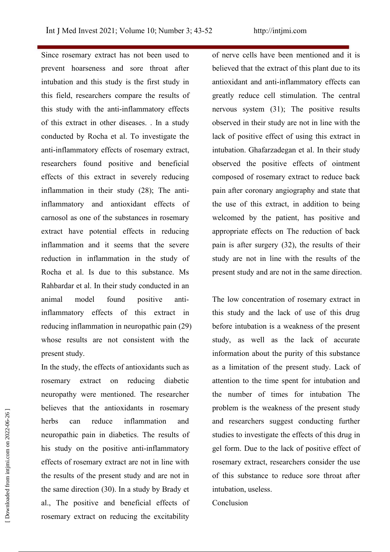Since rosemary extract has not been used to prevent hoarseness and sore throat after intubation and this study is the first study in this field, researchers compare the results of this study with the anti-inflammatory effects of this extract in other diseases. . In a study conducted by Rocha et al. To investigate the anti-inflammatory effects of rosemary extract, researchers found positive and beneficial effects of this extract in severely reducing inflammation in their study (28); The antiinflammatory and antioxidant effects of carnosol as one of the substances in rosemary extract have potential effects in reducing inflammation and it seems that the severe reduction in inflammation in the study of Rocha et al. Is due to this substance. Ms Rahbardar et al. In their study conducted in an animal model found positive antiinflammatory effects of this extract in reducing inflammation in neuropathic pain (29) whose results are not consistent with the present study.

In the study, the effects of antioxidants such as rosemary extract on reducing diabetic neuropathy were mentioned. The researcher believes that the antioxidants in rosemary neuropathic pain in diabetics. The results of his study on the positive anti-inflammatory effects of rosemary extract are not in line with the results of the present study and are not in the same direction (30). In a study by Brady et al., The positive and beneficial effects of rosemary extract on reducing the excitability beneves that the antioxidants in rosemary<br>
herbs can reduce inflammation and and resear<br>
neuropathic pain in diabetics. The results of studies to in<br>
his study on the positive anti-inflammatory gel form. If<br>
effects of ros

of nerve cells have been mentioned and it is believed that the extract of this plant due to its antioxidant and anti-inflammatory effects can greatly reduce cell stimulation. The central nervous system (31); The positive results observed in their study are not in line with the lack of positive effect of using this extract in intubation. Ghafarzadegan et al. In their study observed the positive effects of ointment composed of rosemary extract to reduce back pain after coronary angiography and state that the use of this extract, in addition to being welcomed by the patient, has positive and appropriate effects on The reduction of back pain is after surgery (32), the results of their study are not in line with the results of the present study and are not in the same direction.

herbs can reduce inflammation and and researchers suggest conducting further The low concentration of rosemary extract in this study and the lack of use of this drug before intubation is a weakness of the present study, as well as the lack of accurate information about the purity of this substance as a limitation of the present study. Lack of attention to the time spent for intubation and the number of times for intubation The problem is the weakness of the present study studies to investigate the effects of this drug in gel form. Due to the lack of positive effect of rosemary extract, researchers consider the use of this substance to reduce sore throat after intubation, useless.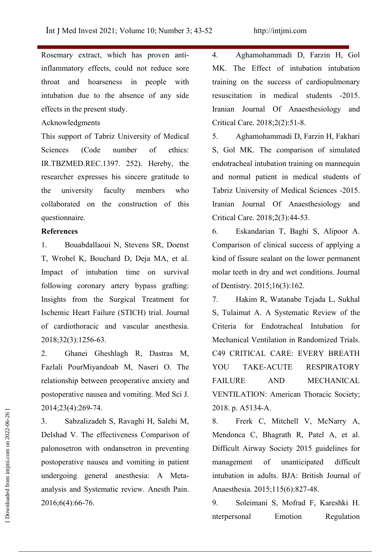Rosemary extract, which has proven antiinflammatory effects, could not reduce sore throat and hoarseness in people with intubation due to the absence of any side effects in the present study.

### Acknowledgments

This support of Tabriz University of Medical Sciences (Code number of ethics: IR.TBZMED.REC.1397. 252). Hereby, the researcher expresses his sincere gratitude to collaborated on the construction of this questionnaire.

### **References**

1. Bouabdallaoui N, Stevens SR, Doenst T, Wrobel K, Bouchard D, Deja MA, et al. Impact of intubation time on survival following coronary artery bypass grafting: Insights from the Surgical Treatment for Ischemic Heart Failure (STICH) trial. Journal of cardiothoracic and vascular anesthesia. 2018;32(3):126-63.

2. Ghanei Gheshlagh R, Dastras M, Fazlali PourMiyandoab M, Naseri O. The relationship between preoperative anxiety and postoperative nausea and vomiting. Med Sci J. 2014;23(4):269-74.

3. Sabzalizadeh S, Ravaghi H, Salehi M, Delshad V. The effectiveness Comparison of palonosetron with ondansetron in preventing postoperative nausea and vomiting in patient undergoing general anesthesia: A Meta analysis and Systematic review. Anesth Pain. 2016;6(4):66-76. 2014;25(4):209-74.<br>
3. Sabzalizadeh S, Ravaghi H, Salehi M, 8. Frenk C, Mitchell V, McNarry A,<br>
1983 Delshad V. The effectiveness Comparison of Mendonca C, Bhagrath R, Patel A, et al.<br>
palonosetron with ondansetron in prev

. Aghamohammadi D, Farzin H, Gol MK. The Effect of intubation intubation training on the success of cardiopulmonary resuscitation in medical students -2015. Iranian Journal Of Anaesthesiology and Critical Care. 2018;2(2):51-8.

the university faculty members who Tabriz University of Medical Sciences -2015. . Aghamohammadi D, Farzin H, Fakhari S, Gol MK. The comparison of simulated endotracheal intubation training on mannequin and normal patient in medical students of Iranian Journal Of Anaesthesiology and Critical Care. 2018;2(3):44-53.

> 6. Eskandarian T, Baghi S, Alipoor A. Comparison of clinical success of applying a kind of fissure sealant on the lower permanent molar teeth in dry and wet conditions. Journal of Dentistry. 2015;16(3):162.

> 7. Hakim R, Watanabe Tejada L, Sukhal S, Tulaimat A. A Systematic Review of the Criteria for Endotracheal Intubation for Mechanical Ventilation in Randomized Trials. C9 CRITICAL CARE: EVERY BREATH RESPIRATORY AND MECHANICAL VENTILATION: American Thoracic Society; 2018. p. A5134-A.

> 8. Frerk C, Mitchell V, McNarry A, Mendonca C, Bhagrath R, Patel A, et al. Difficult Airway Society 2015 guidelines for of unanticipated difficult intubation in adults. BJA: British Journal of Anaesthesia. 2015;115(6):827-48.

> 9. Soleimani S, Mofrad F, Kareshki H.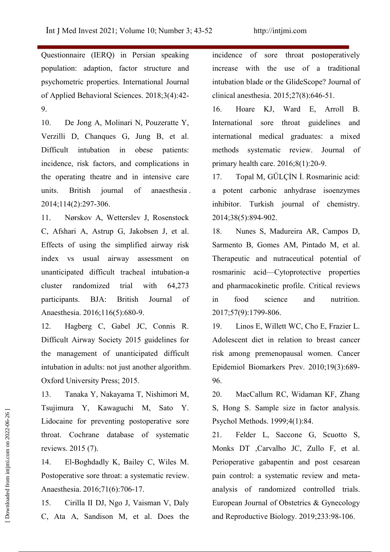Questionnaire (IERQ) in Persian speaking population: adaption, factor structure and psychometric properties. International Journal of Applied Behavioral Sciences. 2018;3(4):42-9.

10. De Jong A, Molinari N, Pouzeratte Y, Verzilli D, Chanques G, Jung B, et al. Difficult intubation in obese patients: incidence, risk factors, and complications in the operating theatre and in intensive care 17. units. British journal of anaesthesia . 2014;114(2):297-306.

11. Nørskov A, Wetterslev J, Rosenstock C, Afshari A, Astrup G, Jakobsen J, et al. Effects of using the simplified airway risk index vs usual airway assessment on unanticipated difficult tracheal intubation-a cluster randomized trial with 64,273 and pharmacokinetic profile. Critical reviews participants. BJA: British Journal of in food Anaesthesia. 2016;116(5):680-9.

12. Hagberg C, Gabel JC, Connis R. Difficult Airway Society 2015 guidelines for the management of unanticipated difficult intubation in adults: not just another algorithm. Oxford University Press; 2015.

13. Tanaka Y, Nakayama T, Nishimori M, Tsujimura Y, Kawaguchi M, Sato Y. Lidocaine for preventing postoperative sore throat. Cochrane database of systematic reviews. 2015 (7).

14. El-Boghdadly K, Bailey C, Wiles M. Postoperative sore throat: a systematic review. Anaesthesia. 2016;71(6):706-17.

15. Cirilla II DJ, Ngo J, Vaisman V, Daly C, Ata A, Sandison M, et al. Does the and Reproductive Biology. 2019;233:98-106.

incidence of sore throat postoperatively increase with the use of a traditional intubation blade or the GlideScope? Journal of clinical anesthesia.  $2015;27(8):646-51$ .

16. Hoare KJ, Ward E, Arroll B. sore throat guidelines and international medical graduates: a mixed methods systematic review. Journal of primary health care. 2016;8(1):20-9.

17. Topal M, GÜLÇİN İ. Rosmarinic acid: a potent carbonic anhydrase isoenzymes inhibitor. Turkish journal of chemistry. 2014;38(5):894-902.

Nunes S, Madureira AR, Campos D, Sarmento B, Gomes AM, Pintado M, et al. Therapeutic and nutraceutical potential of rosmarinic acid—Cytoprotective properties science and nutrition. 2017;7(9):1799-806.

Linos E, Willett WC, Cho E, Frazier L. Adolescent diet in relation to breast cancer risk among premenopausal women. Cancer Epidemiol Biomarkers Prev. 2010;19(3):689- 96.

MacCallum RC, Widaman KF, Zhang S, Hong S. Sample size in factor analysis. Psychol Methods. 1999;4(1):84.

Felder L, Saccone G, Scuotto S, Monks DT ,Carvalho JC, Zullo F, et al. Perioperative gabapentin and post cesarean pain control: a systematic review and meta analysis of randomized controlled trials. European Journal of Obstetrics & Gynecology Follocaine for preventing postoperative sore<br>
Edocaine for preventing postoperative sore<br>
Reproduction Biology.2(1):84.<br>
throat. Cochrane database of systematic 21. Felder L, Saccone G, Scuotto :<br>
reviews. 2015 (7).<br>
Monks